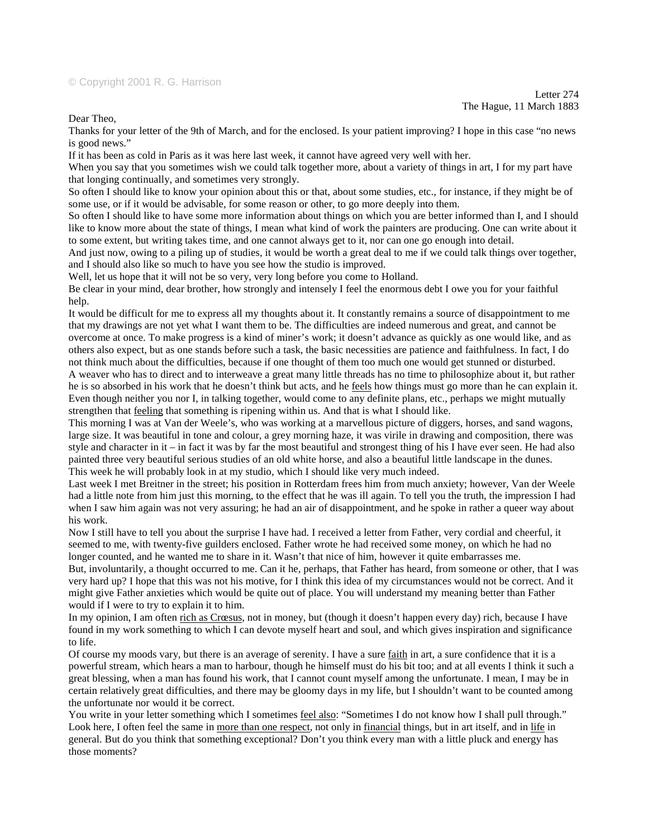## © Copyright 2001 R. G. Harrison

## Dear Theo,

Thanks for your letter of the 9th of March, and for the enclosed. Is your patient improving? I hope in this case "no news is good news."

If it has been as cold in Paris as it was here last week, it cannot have agreed very well with her.

When you say that you sometimes wish we could talk together more, about a variety of things in art, I for my part have that longing continually, and sometimes very strongly.

So often I should like to know your opinion about this or that, about some studies, etc., for instance, if they might be of some use, or if it would be advisable, for some reason or other, to go more deeply into them.

So often I should like to have some more information about things on which you are better informed than I, and I should like to know more about the state of things, I mean what kind of work the painters are producing. One can write about it to some extent, but writing takes time, and one cannot always get to it, nor can one go enough into detail.

And just now, owing to a piling up of studies, it would be worth a great deal to me if we could talk things over together, and I should also like so much to have you see how the studio is improved.

Well, let us hope that it will not be so very, very long before you come to Holland.

Be clear in your mind, dear brother, how strongly and intensely I feel the enormous debt I owe you for your faithful help.

It would be difficult for me to express all my thoughts about it. It constantly remains a source of disappointment to me that my drawings are not yet what I want them to be. The difficulties are indeed numerous and great, and cannot be overcome at once. To make progress is a kind of miner's work; it doesn't advance as quickly as one would like, and as others also expect, but as one stands before such a task, the basic necessities are patience and faithfulness. In fact, I do not think much about the difficulties, because if one thought of them too much one would get stunned or disturbed. A weaver who has to direct and to interweave a great many little threads has no time to philosophize about it, but rather he is so absorbed in his work that he doesn't think but acts, and he feels how things must go more than he can explain it. Even though neither you nor I, in talking together, would come to any definite plans, etc., perhaps we might mutually

strengthen that feeling that something is ripening within us. And that is what I should like.

This morning I was at Van der Weele's, who was working at a marvellous picture of diggers, horses, and sand wagons, large size. It was beautiful in tone and colour, a grey morning haze, it was virile in drawing and composition, there was style and character in it – in fact it was by far the most beautiful and strongest thing of his I have ever seen. He had also painted three very beautiful serious studies of an old white horse, and also a beautiful little landscape in the dunes. This week he will probably look in at my studio, which I should like very much indeed.

Last week I met Breitner in the street; his position in Rotterdam frees him from much anxiety; however, Van der Weele had a little note from him just this morning, to the effect that he was ill again. To tell you the truth, the impression I had when I saw him again was not very assuring; he had an air of disappointment, and he spoke in rather a queer way about his work.

Now I still have to tell you about the surprise I have had. I received a letter from Father, very cordial and cheerful, it seemed to me, with twenty-five guilders enclosed. Father wrote he had received some money, on which he had no longer counted, and he wanted me to share in it. Wasn't that nice of him, however it quite embarrasses me.

But, involuntarily, a thought occurred to me. Can it he, perhaps, that Father has heard, from someone or other, that I was very hard up? I hope that this was not his motive, for I think this idea of my circumstances would not be correct. And it might give Father anxieties which would be quite out of place. You will understand my meaning better than Father would if I were to try to explain it to him.

In my opinion, I am often rich as Crœsus*,* not in money, but (though it doesn't happen every day) rich, because I have found in my work something to which I can devote myself heart and soul, and which gives inspiration and significance to life.

Of course my moods vary, but there is an average of serenity. I have a sure faith in art, a sure confidence that it is a powerful stream, which hears a man to harbour, though he himself must do his bit too; and at all events I think it such a great blessing, when a man has found his work, that I cannot count myself among the unfortunate. I mean, I may be in certain relatively great difficulties, and there may be gloomy days in my life, but I shouldn't want to be counted among the unfortunate nor would it be correct.

You write in your letter something which I sometimes feel also: "Sometimes I do not know how I shall pull through." Look here, I often feel the same in more than one respect, not only in financial things, but in art itself, and in life in general. But do you think that something exceptional? Don't you think every man with a little pluck and energy has those moments?